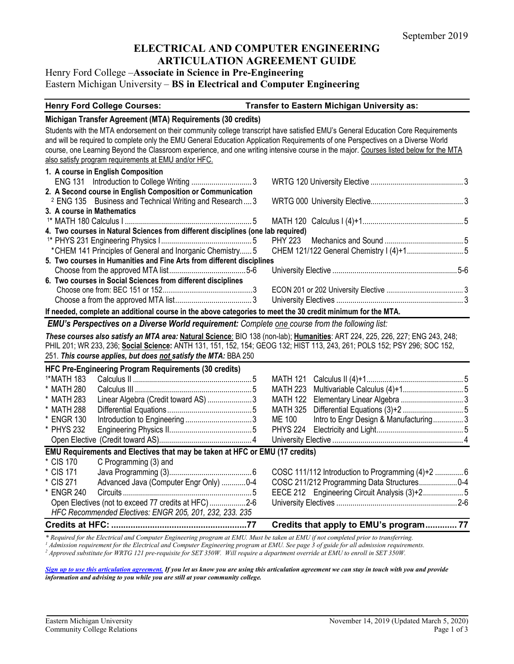# **ELECTRICAL AND COMPUTER ENGINEERING ARTICULATION AGREEMENT GUIDE**

# Henry Ford College –**Associate in Science in Pre-Engineering** Eastern Michigan University – **BS in Electrical and Computer Engineering**

#### **Henry Ford College Courses: Transfer to Eastern Michigan University as:**

#### **Michigan Transfer Agreement (MTA) Requirements (30 credits)**

Students with the MTA endorsement on their community college transcript have satisfied EMU's General Education Core Requirements and will be required to complete only the EMU General Education Application Requirements of one Perspectives on a Diverse World course, one Learning Beyond the Classroom experience, and one writing intensive course in the major. Courses listed below for the MTA also satisfy program requirements at EMU and/or HFC.

| 1. A course in English Composition                                                                          |  |  |  |  |
|-------------------------------------------------------------------------------------------------------------|--|--|--|--|
|                                                                                                             |  |  |  |  |
| 2. A Second course in English Composition or Communication                                                  |  |  |  |  |
| <sup>2</sup> ENG 135 Business and Technical Writing and Research  3                                         |  |  |  |  |
| 3. A course in Mathematics                                                                                  |  |  |  |  |
|                                                                                                             |  |  |  |  |
| 4. Two courses in Natural Sciences from different disciplines (one lab required)                            |  |  |  |  |
|                                                                                                             |  |  |  |  |
|                                                                                                             |  |  |  |  |
| 5. Two courses in Humanities and Fine Arts from different disciplines                                       |  |  |  |  |
|                                                                                                             |  |  |  |  |
| 6. Two courses in Social Sciences from different disciplines                                                |  |  |  |  |
|                                                                                                             |  |  |  |  |
|                                                                                                             |  |  |  |  |
| If needed, complete an additional course in the above categories to meet the 30 credit minimum for the MTA. |  |  |  |  |

# *EMU's Perspectives on a Diverse World requirement: Complete one course from the following list:*

*These courses also satisfy an MTA area:* **Natural Science**: BIO 138 (non-lab); **Humanities**: ART 224, 225, 226, 227; ENG 243, 248; PHIL 201; WR 233, 236; **Social Science:** ANTH 131, 151, 152, 154; GEOG 132; HIST 113, 243, 261; POLS 152; PSY 296; SOC 152, 251. *This course applies, but does not satisfy the MTA:* BBA 250

|                                                                             | HFC Pre-Engineering Program Requirements (30 credits) |  |        |                                        |  |
|-----------------------------------------------------------------------------|-------------------------------------------------------|--|--------|----------------------------------------|--|
| <sup>1*</sup> MATH 183                                                      |                                                       |  |        |                                        |  |
| * MATH 280                                                                  |                                                       |  |        |                                        |  |
| * MATH 283                                                                  | Linear Algebra (Credit toward AS) 3                   |  |        |                                        |  |
| * MATH 288                                                                  |                                                       |  |        |                                        |  |
| * ENGR 130                                                                  |                                                       |  | ME 100 | Intro to Engr Design & Manufacturing 3 |  |
| * PHYS 232                                                                  |                                                       |  |        |                                        |  |
|                                                                             |                                                       |  |        |                                        |  |
| EMU Requirements and Electives that may be taken at HFC or EMU (17 credits) |                                                       |  |        |                                        |  |
| * CIS 170                                                                   | C Programming (3) and                                 |  |        |                                        |  |
| * CIS 171                                                                   |                                                       |  |        |                                        |  |
| * CIS 271                                                                   | Advanced Java (Computer Engr Only) 0-4                |  |        |                                        |  |
| * ENGR 240                                                                  |                                                       |  |        |                                        |  |
| Open Electives (not to exceed 77 credits at HFC)2-6                         |                                                       |  |        |                                        |  |
| HFC Recommended Electives: ENGR 205, 201, 232, 233, 235                     |                                                       |  |        |                                        |  |

**Credits at HFC: ........................................................77 Credits that apply to EMU's program............. 77**

\* Required for the Electrical and Computer Engineering program at EMU. Must be taken at EMU if not completed prior to transferring.<br><sup>1</sup> Admission requirement for the Electrical and Computer Engineering program at EMU. See

*[Sign up to use this articulation agreement.](http://www.emich.edu/ccr/articulation-agreements/signup.php) If you let us know you are using this articulation agreement we can stay in touch with you and provide information and advising to you while you are still at your community college.*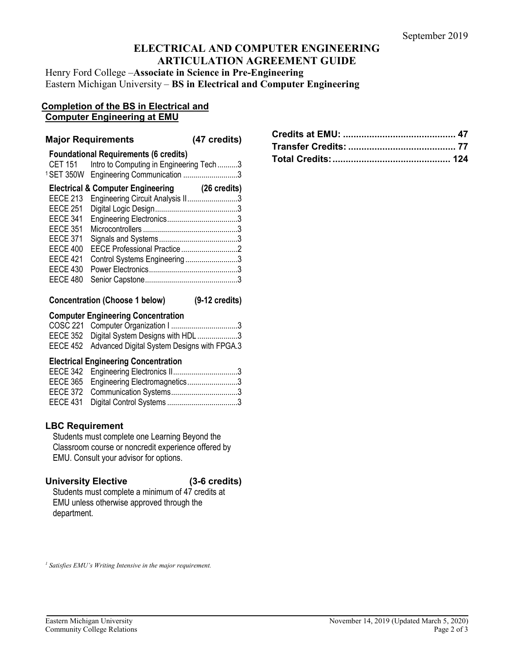# **ELECTRICAL AND COMPUTER ENGINEERING ARTICULATION AGREEMENT GUIDE**

Henry Ford College –**Associate in Science in Pre-Engineering** Eastern Michigan University – **BS in Electrical and Computer Engineering**

#### **Completion of the BS in Electrical and Computer Engineering at EMU**

#### **Major Requirements (47 credits)**

|                 | <b>Foundational Requirements (6 credits)</b>      |                        |
|-----------------|---------------------------------------------------|------------------------|
| <b>CET 151</b>  | Intro to Computing in Engineering Tech3           |                        |
|                 | <sup>1</sup> SET 350W Engineering Communication 3 |                        |
|                 | <b>Electrical &amp; Computer Engineering</b>      | $(26 \text{ credits})$ |
| <b>EECE 213</b> | Engineering Circuit Analysis II3                  |                        |
| <b>EECE 251</b> |                                                   |                        |
| <b>EECE 341</b> |                                                   |                        |
| <b>EECE 351</b> |                                                   |                        |
| <b>EECE 371</b> |                                                   |                        |
| <b>EECE 400</b> | EECE Professional Practice2                       |                        |
| <b>EECE 421</b> | Control Systems Engineering3                      |                        |
| <b>EECE 430</b> |                                                   |                        |
| <b>EECE 480</b> |                                                   |                        |
|                 |                                                   |                        |

# **Concentration (Choose 1 below) (9-12 credits)**

#### **Computer Engineering Concentration**

| EECE 352 Digital System Designs with HDL 3           |  |
|------------------------------------------------------|--|
| EECE 452 Advanced Digital System Designs with FPGA.3 |  |

#### **Electrical Engineering Concentration**

| EECE 365 Engineering Electromagnetics3 |  |
|----------------------------------------|--|
|                                        |  |
|                                        |  |

# **LBC Requirement**

Students must complete one Learning Beyond the Classroom course or noncredit experience offered by EMU. Consult your advisor for options.

### **University Elective (3-6 credits)**

Students must complete a minimum of 47 credits at EMU unless otherwise approved through the department.

*<sup>1</sup> Satisfies EMU's Writing Intensive in the major requirement.*